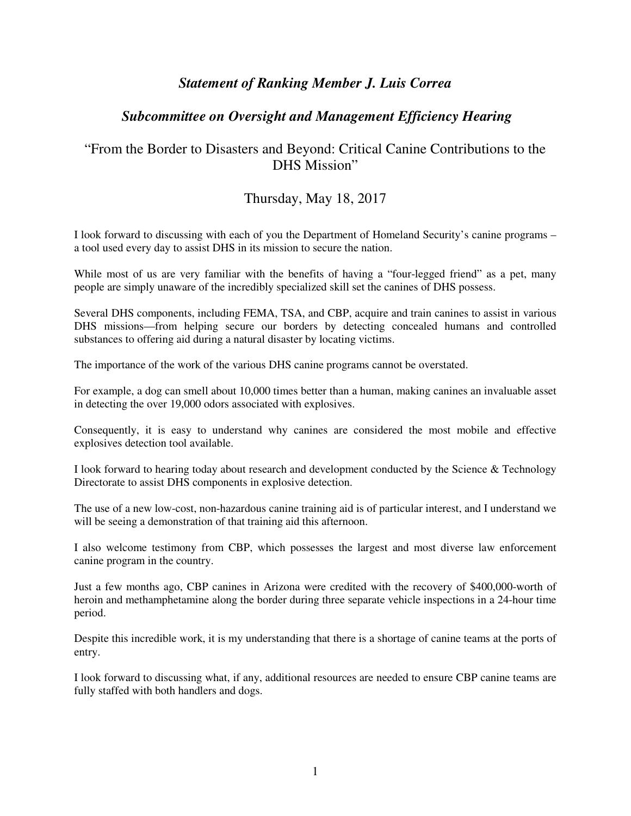## *Statement of Ranking Member J. Luis Correa*

## *Subcommittee on Oversight and Management Efficiency Hearing*

## "From the Border to Disasters and Beyond: Critical Canine Contributions to the DHS Mission"

## Thursday, May 18, 2017

I look forward to discussing with each of you the Department of Homeland Security's canine programs – a tool used every day to assist DHS in its mission to secure the nation.

While most of us are very familiar with the benefits of having a "four-legged friend" as a pet, many people are simply unaware of the incredibly specialized skill set the canines of DHS possess.

Several DHS components, including FEMA, TSA, and CBP, acquire and train canines to assist in various DHS missions—from helping secure our borders by detecting concealed humans and controlled substances to offering aid during a natural disaster by locating victims.

The importance of the work of the various DHS canine programs cannot be overstated.

For example, a dog can smell about 10,000 times better than a human, making canines an invaluable asset in detecting the over 19,000 odors associated with explosives.

Consequently, it is easy to understand why canines are considered the most mobile and effective explosives detection tool available.

I look forward to hearing today about research and development conducted by the Science & Technology Directorate to assist DHS components in explosive detection.

The use of a new low-cost, non-hazardous canine training aid is of particular interest, and I understand we will be seeing a demonstration of that training aid this afternoon.

I also welcome testimony from CBP, which possesses the largest and most diverse law enforcement canine program in the country.

Just a few months ago, CBP canines in Arizona were credited with the recovery of \$400,000-worth of heroin and methamphetamine along the border during three separate vehicle inspections in a 24-hour time period.

Despite this incredible work, it is my understanding that there is a shortage of canine teams at the ports of entry.

I look forward to discussing what, if any, additional resources are needed to ensure CBP canine teams are fully staffed with both handlers and dogs.